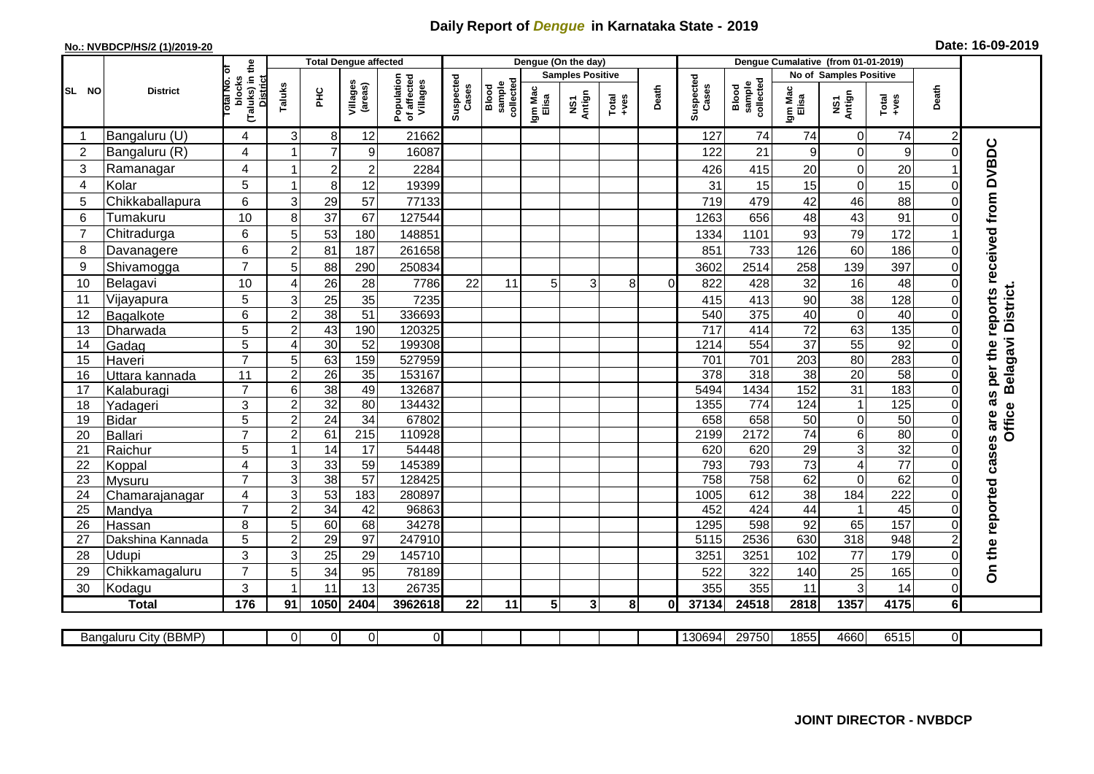## **Daily Report of** *Dengue* **in Karnataka State - 2019**

## **No.: NVBDCP/HS/2 (1)/2019-20 Date: 16-09-2019**

| (Taluks) in the<br>otal No. of<br>No of Samples Positive<br><b>Samples Positive</b><br>Population<br>of affected<br>Villages<br>Suspected<br>Suspected<br>blocks<br><b>District</b><br>sample<br>collected<br>sample<br>collected<br>Villages<br>(areas)<br>Taluks<br>Cases<br>Cases<br>Blood<br>Blood<br>Death<br>Death<br>Igm Mac<br>Elisa<br>Igm Mac<br>Elisa<br>SL NO<br><b>District</b><br>ĔБ<br>NS1<br>Antign<br>NS1<br>Antign<br>Total<br>+ves<br>Total<br>+ves<br>Bangaluru (U)<br>74<br>74<br>74<br>3<br>8 <sup>°</sup><br>12<br>21662<br>127<br>$\overline{0}$<br>4<br>2<br>-1<br>as per the reports received from DVBDC<br>Bangaluru (R)<br>$\overline{7}$<br>$\overline{2}$<br>4<br>9<br>21<br>$\overline{0}$<br>9<br>16087<br>122<br>9<br>$\Omega$<br>3<br>4<br>Ramanagar<br>$\overline{\mathbf{c}}$<br>$\mathbf 2$<br>20<br>$\mathbf 0$<br>20<br>2284<br>426<br>415<br>1<br>5<br>$\mathbf 0$<br>15<br>Kolar<br>8 <sup>1</sup><br>15<br>15<br>12<br>19399<br>31<br>4<br>1<br>0 |                           |  |  |  |  |  |  |  |  |  |  |
|---------------------------------------------------------------------------------------------------------------------------------------------------------------------------------------------------------------------------------------------------------------------------------------------------------------------------------------------------------------------------------------------------------------------------------------------------------------------------------------------------------------------------------------------------------------------------------------------------------------------------------------------------------------------------------------------------------------------------------------------------------------------------------------------------------------------------------------------------------------------------------------------------------------------------------------------------------------------------------------------|---------------------------|--|--|--|--|--|--|--|--|--|--|
|                                                                                                                                                                                                                                                                                                                                                                                                                                                                                                                                                                                                                                                                                                                                                                                                                                                                                                                                                                                             |                           |  |  |  |  |  |  |  |  |  |  |
|                                                                                                                                                                                                                                                                                                                                                                                                                                                                                                                                                                                                                                                                                                                                                                                                                                                                                                                                                                                             |                           |  |  |  |  |  |  |  |  |  |  |
|                                                                                                                                                                                                                                                                                                                                                                                                                                                                                                                                                                                                                                                                                                                                                                                                                                                                                                                                                                                             |                           |  |  |  |  |  |  |  |  |  |  |
|                                                                                                                                                                                                                                                                                                                                                                                                                                                                                                                                                                                                                                                                                                                                                                                                                                                                                                                                                                                             |                           |  |  |  |  |  |  |  |  |  |  |
|                                                                                                                                                                                                                                                                                                                                                                                                                                                                                                                                                                                                                                                                                                                                                                                                                                                                                                                                                                                             |                           |  |  |  |  |  |  |  |  |  |  |
|                                                                                                                                                                                                                                                                                                                                                                                                                                                                                                                                                                                                                                                                                                                                                                                                                                                                                                                                                                                             |                           |  |  |  |  |  |  |  |  |  |  |
| 6<br>88<br>5<br>29<br>57<br>42<br>46<br>Chikkaballapura<br>3<br>77133<br>719<br>479<br>0                                                                                                                                                                                                                                                                                                                                                                                                                                                                                                                                                                                                                                                                                                                                                                                                                                                                                                    |                           |  |  |  |  |  |  |  |  |  |  |
| 10<br>37<br>43<br>91<br>Tumakuru<br>67<br>127544<br>656<br>6<br>8<br>1263<br>48<br>$\Omega$                                                                                                                                                                                                                                                                                                                                                                                                                                                                                                                                                                                                                                                                                                                                                                                                                                                                                                 |                           |  |  |  |  |  |  |  |  |  |  |
| 79<br>172<br>Chitradurga<br>6<br>53<br>1101<br>180<br>148851<br>1334<br>93<br>$\overline{7}$<br>5 <sup>5</sup>                                                                                                                                                                                                                                                                                                                                                                                                                                                                                                                                                                                                                                                                                                                                                                                                                                                                              |                           |  |  |  |  |  |  |  |  |  |  |
| 6<br>60<br>126<br>186<br>$\overline{c}$<br>81<br>187<br>261658<br>851<br>733<br>8<br>Davanagere<br>$\Omega$                                                                                                                                                                                                                                                                                                                                                                                                                                                                                                                                                                                                                                                                                                                                                                                                                                                                                 |                           |  |  |  |  |  |  |  |  |  |  |
| $\overline{7}$<br>397<br>Shivamogga<br>2514<br>258<br>139<br>9<br>88<br>290<br>250834<br>3602<br>5                                                                                                                                                                                                                                                                                                                                                                                                                                                                                                                                                                                                                                                                                                                                                                                                                                                                                          |                           |  |  |  |  |  |  |  |  |  |  |
| 16<br>10<br>26<br>28<br>32<br>48<br>10<br>7786<br>22<br>5 <sup>1</sup><br>3<br>822<br>428<br>Belagavi<br>8<br>11<br>$\Omega$<br>4                                                                                                                                                                                                                                                                                                                                                                                                                                                                                                                                                                                                                                                                                                                                                                                                                                                           |                           |  |  |  |  |  |  |  |  |  |  |
| 5<br>38<br>25<br>35<br>128<br>Vijayapura<br>7235<br>90<br>3<br>11<br>415<br>413                                                                                                                                                                                                                                                                                                                                                                                                                                                                                                                                                                                                                                                                                                                                                                                                                                                                                                             | Belagavi District.        |  |  |  |  |  |  |  |  |  |  |
| 38<br>51<br>6<br>$\overline{375}$<br>40<br>$\overline{0}$<br>40<br>$\overline{2}$<br>336693<br>540<br>12<br><b>Bagalkote</b><br>$\Omega$                                                                                                                                                                                                                                                                                                                                                                                                                                                                                                                                                                                                                                                                                                                                                                                                                                                    |                           |  |  |  |  |  |  |  |  |  |  |
| 43<br>72<br>63<br>135<br>5<br>$\overline{c}$<br>190<br>120325<br>717<br>414<br>13<br>$\Omega$<br>Dharwada                                                                                                                                                                                                                                                                                                                                                                                                                                                                                                                                                                                                                                                                                                                                                                                                                                                                                   |                           |  |  |  |  |  |  |  |  |  |  |
| $\overline{5}$<br>37<br>55<br>92<br>30<br>52<br>199308<br>554<br>1214<br>Gadag<br>14<br>4                                                                                                                                                                                                                                                                                                                                                                                                                                                                                                                                                                                                                                                                                                                                                                                                                                                                                                   |                           |  |  |  |  |  |  |  |  |  |  |
| $\overline{7}$<br>283<br>63<br>159<br>527959<br>701<br>203<br>80<br>5<br>701<br>15<br>Haveri<br>0                                                                                                                                                                                                                                                                                                                                                                                                                                                                                                                                                                                                                                                                                                                                                                                                                                                                                           |                           |  |  |  |  |  |  |  |  |  |  |
| 20<br>$\overline{26}$<br>35<br>153167<br>378<br>318<br>38<br>58<br>$\overline{11}$<br>$\overline{c}$<br>16<br>$\Omega$<br>Uttara kannada                                                                                                                                                                                                                                                                                                                                                                                                                                                                                                                                                                                                                                                                                                                                                                                                                                                    |                           |  |  |  |  |  |  |  |  |  |  |
| 31<br>183<br>$\overline{7}$<br>$\overline{38}$<br>1434<br>152<br>6<br>49<br>132687<br>5494<br>17<br>Kalaburagi<br>$\Omega$                                                                                                                                                                                                                                                                                                                                                                                                                                                                                                                                                                                                                                                                                                                                                                                                                                                                  |                           |  |  |  |  |  |  |  |  |  |  |
| $\overline{32}$<br>125<br>3<br>80<br>18<br>$\overline{c}$<br>134432<br>1355<br>774<br>124<br>$\mathbf{1}$<br>Yadageri                                                                                                                                                                                                                                                                                                                                                                                                                                                                                                                                                                                                                                                                                                                                                                                                                                                                       |                           |  |  |  |  |  |  |  |  |  |  |
| 34<br>50<br>5<br>$\overline{24}$<br>67802<br>658<br>658<br>50<br>$\overline{0}$<br>$\overline{c}$<br>19<br><b>Bidar</b><br>∩                                                                                                                                                                                                                                                                                                                                                                                                                                                                                                                                                                                                                                                                                                                                                                                                                                                                | <b>Office</b>             |  |  |  |  |  |  |  |  |  |  |
| 74<br>80<br>$\overline{7}$<br>61<br>215<br>2172<br>6<br>110928<br>$\overline{2}$<br>2199<br>20<br><b>Ballari</b><br>$\Omega$                                                                                                                                                                                                                                                                                                                                                                                                                                                                                                                                                                                                                                                                                                                                                                                                                                                                |                           |  |  |  |  |  |  |  |  |  |  |
| 32<br>$\overline{5}$<br>14<br>29<br>ω<br>$\overline{17}$<br>54448<br>620<br>620<br>21<br>Raichur<br>$\Omega$                                                                                                                                                                                                                                                                                                                                                                                                                                                                                                                                                                                                                                                                                                                                                                                                                                                                                |                           |  |  |  |  |  |  |  |  |  |  |
| $\overline{73}$<br>$\overline{77}$<br>33<br>59<br>793<br>22<br>4<br>145389<br>793<br>4<br>3<br>Koppal<br>0                                                                                                                                                                                                                                                                                                                                                                                                                                                                                                                                                                                                                                                                                                                                                                                                                                                                                  |                           |  |  |  |  |  |  |  |  |  |  |
| $\overline{7}$<br>$\overline{38}$<br>$\overline{57}$<br>758<br>62<br>62<br>3<br>128425<br>758<br>$\mathbf 0$<br>23<br>$\Omega$<br>Mysuru                                                                                                                                                                                                                                                                                                                                                                                                                                                                                                                                                                                                                                                                                                                                                                                                                                                    |                           |  |  |  |  |  |  |  |  |  |  |
| 222<br>38<br>4<br>3<br>53<br>183<br>280897<br>612<br>184<br>24<br>1005<br>Chamarajanagar                                                                                                                                                                                                                                                                                                                                                                                                                                                                                                                                                                                                                                                                                                                                                                                                                                                                                                    |                           |  |  |  |  |  |  |  |  |  |  |
| $\overline{7}$<br>45<br>$\overline{2}$<br>34<br>42<br>96863<br>452<br>424<br>44<br>25<br>Mandya<br>$\mathbf{1}$<br>$\Omega$                                                                                                                                                                                                                                                                                                                                                                                                                                                                                                                                                                                                                                                                                                                                                                                                                                                                 |                           |  |  |  |  |  |  |  |  |  |  |
| 65<br>157<br>8<br>5<br>68<br>34278<br>1295<br>598<br>92<br>26<br>60<br>Hassan<br>$\Omega$<br>2536<br>318<br>948<br>97<br>630                                                                                                                                                                                                                                                                                                                                                                                                                                                                                                                                                                                                                                                                                                                                                                                                                                                                |                           |  |  |  |  |  |  |  |  |  |  |
| 5<br>$\overline{2}$<br>29<br>247910<br>5115<br>27<br>Dakshina Kannada                                                                                                                                                                                                                                                                                                                                                                                                                                                                                                                                                                                                                                                                                                                                                                                                                                                                                                                       | On the reported cases are |  |  |  |  |  |  |  |  |  |  |
| 3<br>28<br>77<br>179<br>Udupi<br>3<br>25<br>29<br>3251<br>102<br>145710<br>3251<br>0<br>$\overline{7}$                                                                                                                                                                                                                                                                                                                                                                                                                                                                                                                                                                                                                                                                                                                                                                                                                                                                                      |                           |  |  |  |  |  |  |  |  |  |  |
| 25<br>34<br>165<br>29<br>Chikkamagaluru<br>5<br>95<br>78189<br>522<br>322<br>140<br>0<br>3<br>3<br>13<br>11<br>26735<br>355<br>355<br>14<br>11<br>$\Omega$                                                                                                                                                                                                                                                                                                                                                                                                                                                                                                                                                                                                                                                                                                                                                                                                                                  |                           |  |  |  |  |  |  |  |  |  |  |
| Kodagu<br>30                                                                                                                                                                                                                                                                                                                                                                                                                                                                                                                                                                                                                                                                                                                                                                                                                                                                                                                                                                                |                           |  |  |  |  |  |  |  |  |  |  |
| 176<br>5 <sub>5</sub><br>1357<br>4175<br><b>Total</b><br>1050<br>2404<br>3962618<br>11<br>3 <sup>1</sup><br>8<br>24518<br>2818<br>6 <sup>1</sup><br>22<br>37134<br>91<br>01                                                                                                                                                                                                                                                                                                                                                                                                                                                                                                                                                                                                                                                                                                                                                                                                                 |                           |  |  |  |  |  |  |  |  |  |  |
| 29750<br>1855<br>6515<br>$\Omega$<br>0<br>$\overline{0}$<br>$\overline{0}$<br>130694<br>4660<br>$\overline{0}$<br>Bangaluru City (BBMP)                                                                                                                                                                                                                                                                                                                                                                                                                                                                                                                                                                                                                                                                                                                                                                                                                                                     |                           |  |  |  |  |  |  |  |  |  |  |